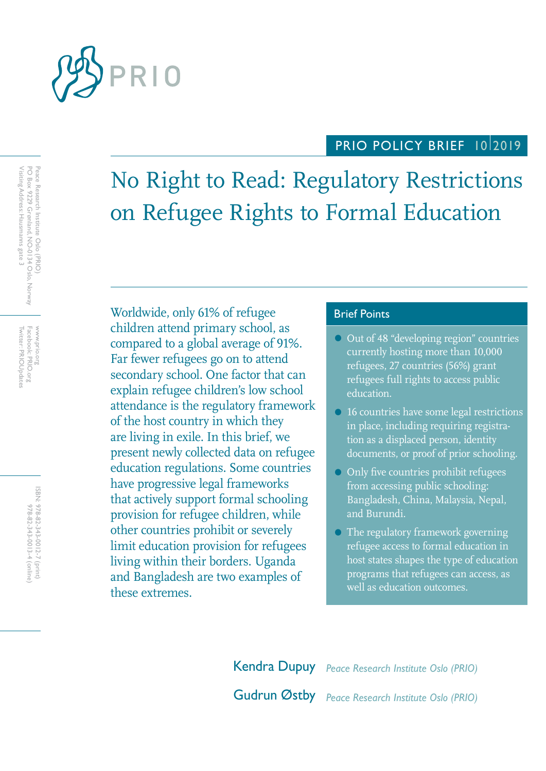

# PRIO POLICY BRIEF 1012019

No Right to Read: Regulatory Restrictions on Refugee Rights to Formal Education

Worldwide, only 61% of refugee Brief Points children attend primary school, as compared to a global average of 91%. Far fewer refugees go on to attend secondary school. One factor that can explain refugee children's low school attendance is the regulatory framework of the host country in which they are living in exile. In this brief, we present newly collected data on refugee education regulations. Some countries have progressive legal frameworks that actively support formal schooling provision for refugee children, while other countries prohibit or severely limit education provision for refugees living within their borders. Uganda and Bangladesh are two examples of these extremes.

- Out of 48 "developing region" countries currently hosting more than 10,000 refugees, 27 countries (56%) grant refugees full rights to access public education.
- 16 countries have some legal restrictions in place, including requiring registration as a displaced person, identity documents, or proof of prior schooling.
- Only five countries prohibit refugees from accessing public schooling: Bangladesh, China, Malaysia, Nepal, and Burundi.
- The regulatory framework governing refugee access to formal education in host states shapes the type of education programs that refugees can access, as well as education outcomes.

Kendra Dupuy *Peace Research Institute Oslo (PRIO)* Gudrun Østby *Peace Research Institute Oslo (PRIO)*

Peace Research Institute Oslo (PRIO)<br>PO Box 9229 Grønland, NO-0134 Oslo, Norway<br>Visiting Address: Hausmanns gate 3 Visiting Address: Hausmanns gate 3 PO Box 9229 Grønland, NO-0134 Oslo, Norway Peace Research Institute Oslo (PRIO)

Facebook: PRIO.org<br>Twitter: PRIOUpdates Twitter: PRIOUpdates Facebook: PRIO.org www.prio.org www.prio.org

> ISBN: 978-82-343-0012-7 (print) 978-82-343-0013-4 (online) 978-82-343-0013-4 (online) 978-82-343-0012-7 (print)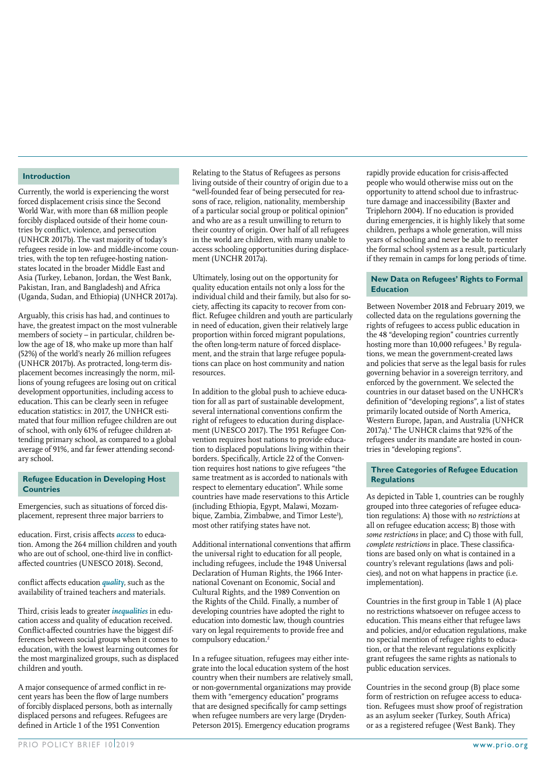#### **Introduction**

Currently, the world is experiencing the worst forced displacement crisis since the Second World War, with more than 68 million people forcibly displaced outside of their home countries by conflict, violence, and persecution (UNHCR 2017b). The vast majority of today's refugees reside in low- and middle-income countries, with the top ten refugee-hosting nationstates located in the broader Middle East and Asia (Turkey, Lebanon, Jordan, the West Bank, Pakistan, Iran, and Bangladesh) and Africa (Uganda, Sudan, and Ethiopia) (UNHCR 2017a).

Arguably, this crisis has had, and continues to have, the greatest impact on the most vulnerable members of society – in particular, children below the age of 18, who make up more than half (52%) of the world's nearly 26 million refugees (UNHCR 2017b). As protracted, long-term displacement becomes increasingly the norm, millions of young refugees are losing out on critical development opportunities, including access to education. This can be clearly seen in refugee education statistics: in 2017, the UNHCR estimated that four million refugee children are out of school, with only 61% of refugee children attending primary school, as compared to a global average of 91%, and far fewer attending secondary school.

#### **Refugee Education in Developing Host Countries**

Emergencies, such as situations of forced displacement, represent three major barriers to

education. First, crisis affects *access* to education. Among the 264 million children and youth who are out of school, one-third live in conflictaffected countries (UNESCO 2018). Second,

conflict affects education *quality*, such as the availability of trained teachers and materials.

Third, crisis leads to greater *inequalities* in education access and quality of education received. Conflict-affected countries have the biggest differences between social groups when it comes to education, with the lowest learning outcomes for the most marginalized groups, such as displaced children and youth.

A major consequence of armed conflict in recent years has been the flow of large numbers of forcibly displaced persons, both as internally displaced persons and refugees. Refugees are defined in Article 1 of the 1951 Convention

Relating to the Status of Refugees as persons living outside of their country of origin due to a "well-founded fear of being persecuted for reasons of race, religion, nationality, membership of a particular social group or political opinion" and who are as a result unwilling to return to their country of origin. Over half of all refugees in the world are children, with many unable to access schooling opportunities during displacement (UNCHR 2017a).

Ultimately, losing out on the opportunity for quality education entails not only a loss for the individual child and their family, but also for society, affecting its capacity to recover from conflict. Refugee children and youth are particularly in need of education, given their relatively large proportion within forced migrant populations, the often long-term nature of forced displacement, and the strain that large refugee populations can place on host community and nation resources.

In addition to the global push to achieve education for all as part of sustainable development, several international conventions confirm the right of refugees to education during displacement (UNESCO 2017). The 1951 Refugee Convention requires host nations to provide education to displaced populations living within their borders. Specifically, Article 22 of the Convention requires host nations to give refugees "the same treatment as is accorded to nationals with respect to elementary education". While some countries have made reservations to this Article (including Ethiopia, Egypt, Malawi, Mozambique, Zambia, Zimbabwe, and Timor Leste<sup>1</sup>), most other ratifying states have not.

Additional international conventions that affirm the universal right to education for all people, including refugees, include the 1948 Universal Declaration of Human Rights, the 1966 International Covenant on Economic, Social and Cultural Rights, and the 1989 Convention on the Rights of the Child. Finally, a number of developing countries have adopted the right to education into domestic law, though countries vary on legal requirements to provide free and compulsory education.2

In a refugee situation, refugees may either integrate into the local education system of the host country when their numbers are relatively small, or non-governmental organizations may provide them with "emergency education" programs that are designed specifically for camp settings when refugee numbers are very large (Dryden-Peterson 2015). Emergency education programs

rapidly provide education for crisis-affected people who would otherwise miss out on the opportunity to attend school due to infrastructure damage and inaccessibility (Baxter and Triplehorn 2004). If no education is provided during emergencies, it is highly likely that some children, perhaps a whole generation, will miss years of schooling and never be able to reenter the formal school system as a result, particularly if they remain in camps for long periods of time.

#### **New Data on Refugees' Rights to Formal Education**

Between November 2018 and February 2019, we collected data on the regulations governing the rights of refugees to access public education in the 48 "developing region" countries currently hosting more than 10,000 refugees.<sup>3</sup> By regulations, we mean the government-created laws and policies that serve as the legal basis for rules governing behavior in a sovereign territory, and enforced by the government. We selected the countries in our dataset based on the UNHCR's definition of "developing regions", a list of states primarily located outside of North America, Western Europe, Japan, and Australia (UNHCR 2017a).4 The UNHCR claims that 92% of the refugees under its mandate are hosted in countries in "developing regions".

#### **Three Categories of Refugee Education Regulations**

As depicted in Table 1, countries can be roughly grouped into three categories of refugee education regulations: A) those with *no restrictions* at all on refugee education access; B) those with *some restrictions* in place; and C) those with full, *complete restrictions* in place. These classifications are based only on what is contained in a country's relevant regulations (laws and policies), and not on what happens in practice (i.e. implementation).

Countries in the first group in Table 1 (A) place no restrictions whatsoever on refugee access to education. This means either that refugee laws and policies, and/or education regulations, make no special mention of refugee rights to education, or that the relevant regulations explicitly grant refugees the same rights as nationals to public education services.

Countries in the second group (B) place some form of restriction on refugee access to education. Refugees must show proof of registration as an asylum seeker (Turkey, South Africa) or as a registered refugee (West Bank). They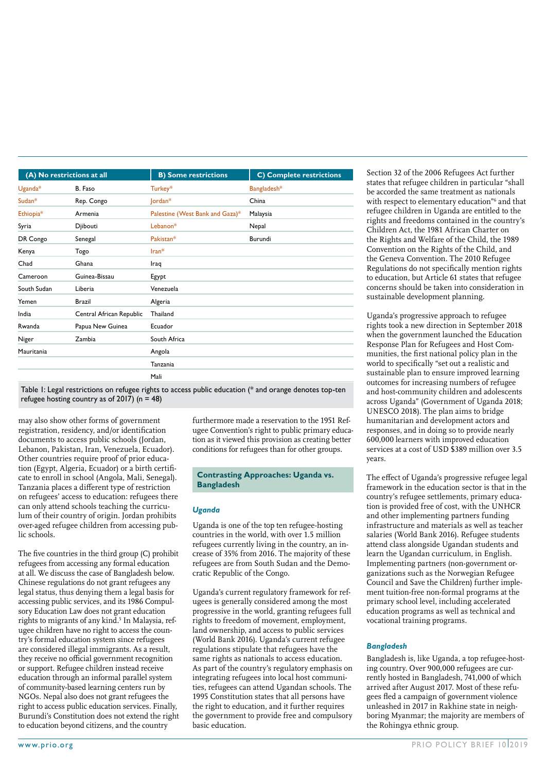|               | (A) No restrictions at all | <b>B) Some restrictions</b>     | <b>C)</b> Complete restrictions |
|---------------|----------------------------|---------------------------------|---------------------------------|
| $U$ ganda $*$ | B. Faso                    | Turkey*                         | Bangladesh*                     |
| $Sudan*$      | Rep. Congo                 | Jordan*                         | China                           |
| Ethiopia*     | Armenia                    | Palestine (West Bank and Gaza)* | Malaysia                        |
| Syria         | Djibouti                   | Lebanon*                        | Nepal                           |
| DR Congo      | Senegal                    | Pakistan*                       | Burundi                         |
| Kenya         | Togo                       | $Iran*$                         |                                 |
| Chad          | Ghana                      | Iraq                            |                                 |
| Cameroon      | Guinea-Bissau              | Egypt                           |                                 |
| South Sudan   | Liberia                    | Venezuela                       |                                 |
| Yemen         | <b>Brazil</b>              | Algeria                         |                                 |
| India         | Central African Republic   | Thailand                        |                                 |
| Rwanda        | Papua New Guinea           | Ecuador                         |                                 |
| Niger         | Zambia                     | South Africa                    |                                 |
| Mauritania    |                            | Angola                          |                                 |
|               |                            | Tanzania                        |                                 |
|               |                            | Mali                            |                                 |

Table 1: Legal restrictions on refugee rights to access public education (\* and orange denotes top-ten refugee hosting country as of 2017) ( $n = 48$ )

may also show other forms of government registration, residency, and/or identification documents to access public schools (Jordan, Lebanon, Pakistan, Iran, Venezuela, Ecuador). Other countries require proof of prior education (Egypt, Algeria, Ecuador) or a birth certificate to enroll in school (Angola, Mali, Senegal). Tanzania places a different type of restriction on refugees' access to education: refugees there can only attend schools teaching the curriculum of their country of origin. Jordan prohibits over-aged refugee children from accessing public schools.

The five countries in the third group (C) prohibit refugees from accessing any formal education at all. We discuss the case of Bangladesh below. Chinese regulations do not grant refugees any legal status, thus denying them a legal basis for accessing public services, and its 1986 Compulsory Education Law does not grant education rights to migrants of any kind.<sup>5</sup> In Malaysia, refugee children have no right to access the country's formal education system since refugees are considered illegal immigrants. As a result, they receive no official government recognition or support. Refugee children instead receive education through an informal parallel system of community-based learning centers run by NGOs. Nepal also does not grant refugees the right to access public education services. Finally, Burundi's Constitution does not extend the right to education beyond citizens, and the country

furthermore made a reservation to the 1951 Refugee Convention's right to public primary education as it viewed this provision as creating better conditions for refugees than for other groups.

#### **Contrasting Approaches: Uganda vs. Bangladesh**

#### *Uganda*

Uganda is one of the top ten refugee-hosting countries in the world, with over 1.5 million refugees currently living in the country, an increase of 35% from 2016. The majority of these refugees are from South Sudan and the Democratic Republic of the Congo.

Uganda's current regulatory framework for refugees is generally considered among the most progressive in the world, granting refugees full rights to freedom of movement, employment, land ownership, and access to public services (World Bank 2016). Uganda's current refugee regulations stipulate that refugees have the same rights as nationals to access education. As part of the country's regulatory emphasis on integrating refugees into local host communities, refugees can attend Ugandan schools. The 1995 Constitution states that all persons have the right to education, and it further requires the government to provide free and compulsory basic education.

Section 32 of the 2006 Refugees Act further states that refugee children in particular "shall be accorded the same treatment as nationals with respect to elementary education"<sup>6</sup> and that refugee children in Uganda are entitled to the rights and freedoms contained in the country's Children Act, the 1981 African Charter on the Rights and Welfare of the Child, the 1989 Convention on the Rights of the Child, and the Geneva Convention. The 2010 Refugee Regulations do not specifically mention rights to education, but Article 61 states that refugee concerns should be taken into consideration in sustainable development planning.

Uganda's progressive approach to refugee rights took a new direction in September 2018 when the government launched the Education Response Plan for Refugees and Host Communities, the first national policy plan in the world to specifically "set out a realistic and sustainable plan to ensure improved learning outcomes for increasing numbers of refugee and host-community children and adolescents across Uganda" (Government of Uganda 2018; UNESCO 2018). The plan aims to bridge humanitarian and development actors and responses, and in doing so to provide nearly 600,000 learners with improved education services at a cost of USD \$389 million over 3.5 years.

The effect of Uganda's progressive refugee legal framework in the education sector is that in the country's refugee settlements, primary education is provided free of cost, with the UNHCR and other implementing partners funding infrastructure and materials as well as teacher salaries (World Bank 2016). Refugee students attend class alongside Ugandan students and learn the Ugandan curriculum, in English. Implementing partners (non-government organizations such as the Norwegian Refugee Council and Save the Children) further implement tuition-free non-formal programs at the primary school level, including accelerated education programs as well as technical and vocational training programs.

#### *Bangladesh*

Bangladesh is, like Uganda, a top refugee-hosting country. Over 900,000 refugees are currently hosted in Bangladesh, 741,000 of which arrived after August 2017. Most of these refugees fled a campaign of government violence unleashed in 2017 in Rakhine state in neighboring Myanmar; the majority are members of the Rohingya ethnic group.